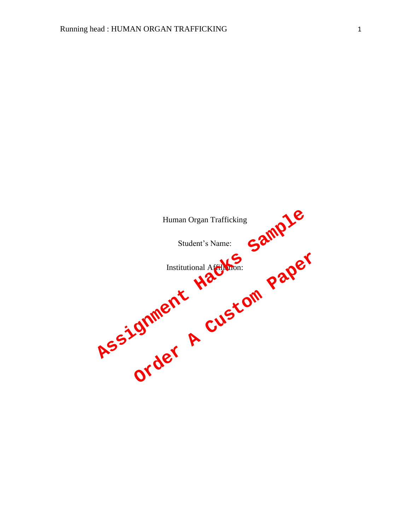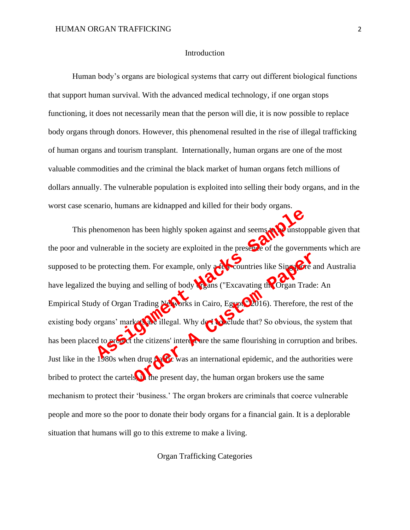#### Introduction

Human body's organs are biological systems that carry out different biological functions that support human survival. With the advanced medical technology, if one organ stops functioning, it does not necessarily mean that the person will die, it is now possible to replace body organs through donors. However, this phenomenal resulted in the rise of illegal trafficking of human organs and tourism transplant. Internationally, human organs are one of the most valuable commodities and the criminal the black market of human organs fetch millions of dollars annually. The vulnerable population is exploited into selling their body organs, and in the worst case scenario, humans are kidnapped and killed for their body organs.

This phenomenon has been highly spoken against and seems to be unstoppable given that the poor and vulnerable in the society are exploited in the presence of the governments which are supposed to be protecting them. For example, only a few countries like Singapore and Australia have legalized the buying and selling of body organs ("Excavating the Organ Trade: An Empirical Study of Organ Trading Networks in Cairo, Egypt $\mathbb{C}$ 2016). Therefore, the rest of the existing body organs' markets are illegal. Why do **No**rclude that? So obvious, the system that has been placed to protect the citizens' interest are the same flourishing in corruption and bribes. Just like in the  $1\frac{1}{280}$ s when drug traffic was an international epidemic, and the authorities were bribed to protect the cartels  $\overrightarrow{u}$  the present day, the human organ brokers use the same mechanism to protect their 'business.' The organ brokers are criminals that coerce vulnerable people and more so the poor to donate their body organs for a financial gain. It is a deplorable situation that humans will go to this extreme to make a living. enomenon has been highly spoken against and seems to all unstop<br>interable in the society are exploited in the presence of the govern<br>protecting them. For example, only accountries like Singular<br>the buying and selling of bo them. For example, only a contrines like Singer and selling of body thems ("Excavating the Organ Trade<br>Trading Newsrks in Cairo, Egypt 2016). Therefore, the<br>kets are illegal. Why do the relative that? So obvious, the<br>the c

Organ Trafficking Categories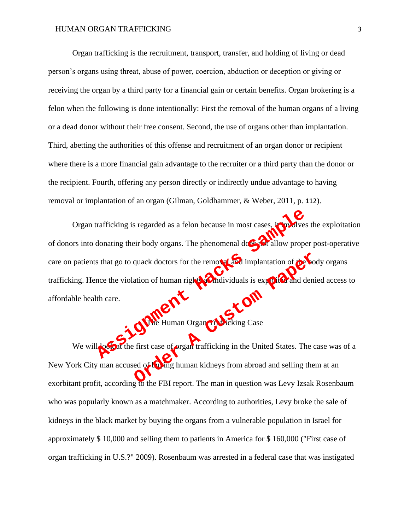Organ trafficking is the recruitment, transport, transfer, and holding of living or dead person's organs using threat, abuse of power, coercion, abduction or deception or giving or receiving the organ by a third party for a financial gain or certain benefits. Organ brokering is a felon when the following is done intentionally: First the removal of the human organs of a living or a dead donor without their free consent. Second, the use of organs other than implantation. Third, abetting the authorities of this offense and recruitment of an organ donor or recipient where there is a more financial gain advantage to the recruiter or a third party than the donor or the recipient. Fourth, offering any person directly or indirectly undue advantage to having removal or implantation of an organ (Gilman, Goldhammer, & Weber, 2011, p. 112).

Organ trafficking is regarded as a felon because in most cases,  $\lim_{n \to \infty}$  lives the exploitation of donors into donating their body organs. The phenomenal does in allow proper post-operative care on patients that go to quack doctors for the removal and implantation of the body organs trafficking. Hence the violation of human rights at midividuals is exploited and denied access to affordable health care. The Human Organ Containing in the United States. The United States of the Contains the first case of **Assumer Hacks School Containers** Contained the Containers of the Human Organ Containing Case quack doctors for the remover for implantation of the Condition of human rights and dividuals is exploited and deni<br>ation of human organ conditions is exploited and deni<br>first case of organ trafficking in the United States

uman Organ Traff

We will look at the first case of **organ trafficking** in the United States. The case was of a New York City man accused of buying human kidneys from abroad and selling them at an exorbitant profit, according to the FBI report. The man in question was Levy Izsak Rosenbaum who was popularly known as a matchmaker. According to authorities, Levy broke the sale of kidneys in the black market by buying the organs from a vulnerable population in Israel for approximately \$ 10,000 and selling them to patients in America for \$ 160,000 ("First case of organ trafficking in U.S.?" 2009). Rosenbaum was arrested in a federal case that was instigated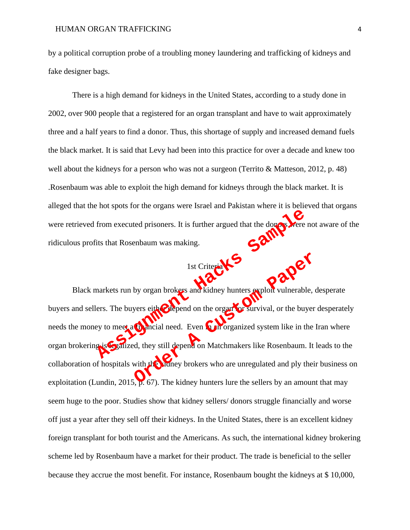by a political corruption probe of a troubling money laundering and trafficking of kidneys and fake designer bags.

There is a high demand for kidneys in the United States, according to a study done in 2002, over 900 people that a registered for an organ transplant and have to wait approximately three and a half years to find a donor. Thus, this shortage of supply and increased demand fuels the black market. It is said that Levy had been into this practice for over a decade and knew too well about the kidneys for a person who was not a surgeon (Territo & Matteson, 2012, p. 48) .Rosenbaum was able to exploit the high demand for kidneys through the black market. It is alleged that the hot spots for the organs were Israel and Pakistan where it is believed that organs were retrieved from executed prisoners. It is further argued that the donors were not aware of the ridiculous profits that Rosenbaum was making. ridiculous profits that Rosenbaum was making.

# 1st Criteria X

Black markets run by organ brokers and kidney hunters exploit vulnerable, desperate buyers and sellers. The buyers either depend on the organ for survival, or the buyer desperately needs the money to meet a **financial need.** Even in an organized system like in the Iran where organ brokering is **C**alized, they still depend on Matchmakers like Rosenbaum. It leads to the collaboration of hospitals with the kidney brokers who are unregulated and ply their business on exploitation (Lundin, 2015,  $\mu$ . 67). The kidney hunters lure the sellers by an amount that may seem huge to the poor. Studies show that kidney sellers/ donors struggle financially and worse off just a year after they sell off their kidneys. In the United States, there is an excellent kidney foreign transplant for both tourist and the Americans. As such, the international kidney brokering scheme led by Rosenbaum have a market for their product. The trade is beneficial to the seller because they accrue the most benefit. For instance, Rosenbaum bought the kidneys at \$ 10,000, From executed prisoners. It is further argued that the done were its that Rosenbaum was making.<br>
1st Criterial Contracts Samples of the Criterial Contracts Fig. 2012<br>
Associates for the buyers either and kidney hunters exp 1st Criteria W. S. A. Company of Strategy and Ridney hunters exploit vulnerable, on the series either a company of Survival, or the buyer of an calculated and the series of the series of the series who are unregulated and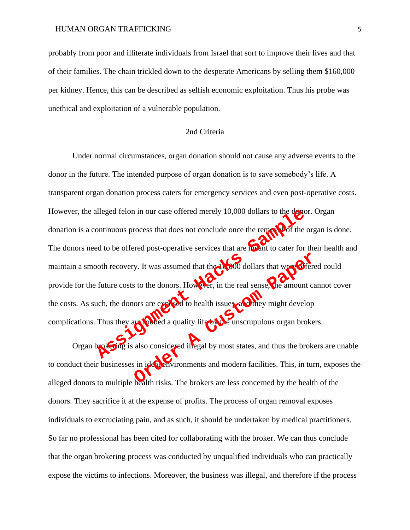probably from poor and illiterate individuals from Israel that sort to improve their lives and that of their families. The chain trickled down to the desperate Americans by selling them \$160,000 per kidney. Hence, this can be described as selfish economic exploitation. Thus his probe was unethical and exploitation of a vulnerable population.

### 2nd Criteria

Under normal circumstances, organ donation should not cause any adverse events to the donor in the future. The intended purpose of organ donation is to save somebody's life. A transparent organ donation process caters for emergency services and even post-operative costs. However, the alleged felon in our case offered merely 10,000 dollars to the donor. Organ donation is a continuous process that does not conclude once the removal of the organ is done. The donors need to be offered post-operative services that are meant to cater for their health and maintain a smooth recovery. It was assumed that the  $10,000$  dollars that were **of** fered could provide for the future costs to the donors. However, in the real sense, the amount cannot cover the costs. As such, the donors are exposed to health issues, and they might develop complications. Thus they are robbed a quality life by the unscrupulous organ brokers. Thus they are also considered integal by most states, and thus the broad to be offered post-operative services that are **healt** to cater for each oth recovery. It was assumed that the **contract of the contract of the contr** The sto the donors. However, in the real sense, we amount care a constant of the donors. However, in the real sense, we amount care a constant of the dominant of the dominant of the dominant of the dominant of the dominant

Organ broketing is also considered illegal by most states, and thus the brokers are unable to conduct their businesses in ideal environments and modern facilities. This, in turn, exposes the alleged donors to multiple health risks. The brokers are less concerned by the health of the donors. They sacrifice it at the expense of profits. The process of organ removal exposes individuals to excruciating pain, and as such, it should be undertaken by medical practitioners. So far no professional has been cited for collaborating with the broker. We can thus conclude that the organ brokering process was conducted by unqualified individuals who can practically expose the victims to infections. Moreover, the business was illegal, and therefore if the process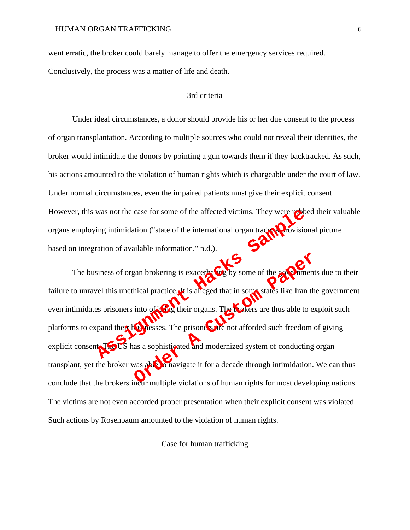went erratic, the broker could barely manage to offer the emergency services required.

Conclusively, the process was a matter of life and death.

### 3rd criteria

Under ideal circumstances, a donor should provide his or her due consent to the process of organ transplantation. According to multiple sources who could not reveal their identities, the broker would intimidate the donors by pointing a gun towards them if they backtracked. As such, his actions amounted to the violation of human rights which is chargeable under the court of law. Under normal circumstances, even the impaired patients must give their explicit consent. However, this was not the case for some of the affected victims. They were robbed their valuable organs employing intimidation ("state of the international organ tradex: provisional picture based on integration of available information," n.d.).

The business of organ brokering is exacerbating by some of the governments due to their failure to unravel this unethical practice. It is alleged that in some states like Iran the government even intimidates prisoners into offering their organs. The **brokers** are thus able to exploit such platforms to expand their businesses. The prisoners are not afforded such freedom of giving explicit consent. The US has a sophisticated and modernized system of conducting organ transplant, yet the broker was able to navigate it for a decade through intimidation. We can thus conclude that the brokers incur multiple violations of human rights for most developing nations. The victims are not even accorded proper presentation when their explicit consent was violated. Such actions by Rosenbaum amounted to the violation of human rights. was not the case for some of the affected victims. They were respecting<br>ing intimidation ("state of the international organ trades victions")<br>action of available information," n.d.).<br>Siness of organ brokering is exacerbati Exam brokering is exacerbating by some of the government<br>hical practice. It is alreged that in some states like Iran the<br>into offering their organs. The brokers are thus able to examends the<br>discusses. The prisoners are no

Case for human trafficking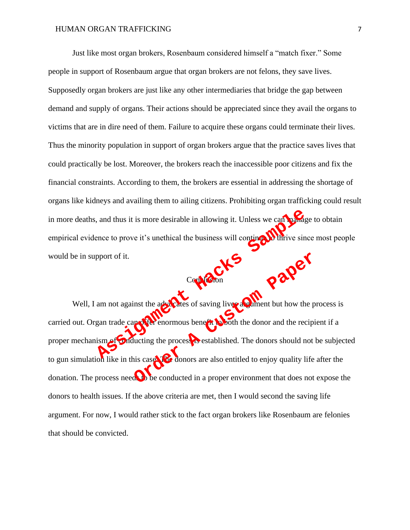Just like most organ brokers, Rosenbaum considered himself a "match fixer." Some people in support of Rosenbaum argue that organ brokers are not felons, they save lives. Supposedly organ brokers are just like any other intermediaries that bridge the gap between demand and supply of organs. Their actions should be appreciated since they avail the organs to victims that are in dire need of them. Failure to acquire these organs could terminate their lives. Thus the minority population in support of organ brokers argue that the practice saves lives that could practically be lost. Moreover, the brokers reach the inaccessible poor citizens and fix the financial constraints. According to them, the brokers are essential in addressing the shortage of organs like kidneys and availing them to ailing citizens. Prohibiting organ trafficking could result in more deaths, and thus it is more desirable in allowing it. Unless we can manage to obtain empirical evidence to prove it's unethical the business will continue the thrive since most people would be in support of it.

Well, I am not against the advocates of saving lives a mean but how the process is carried out. Organ trade can offer enormous benefit to both the donor and the recipient if a proper mechanism of Conducting the process restablished. The donors should not be subjected to gun simulation like in this case. The donors are also entitled to enjoy quality life after the donation. The process needs to be conducted in a proper environment that does not expose the donors to health issues. If the above criteria are met, then I would second the saving life argument. For now, I would rather stick to the fact organ brokers like Rosenbaum are felonies that should be convicted. Assignment of it.<br>
Comport of it.<br>
Comport of it.<br>
Comport of it.<br>
Comport of it.<br>
Comport of it.<br>
Comport of it.<br>
Comport of it.<br>
Comport of it.<br>
Comport of it.<br>
Comport of it.<br>
Comport of it.<br>
Comport of it.<br>
Comport of Conducted in a proper environment that does not<br> **OPER CONDUCTS**<br>
OPER ENTERTAINMENT ENTERTAINMENT AND THE MOVEMENT ENDED ASSESSMENT AND SERVE THE MORE SHOWS ARE MONEY AND MANY AND THE MANY AND THE MORE CONDUCTS ARE also e

Conclusion